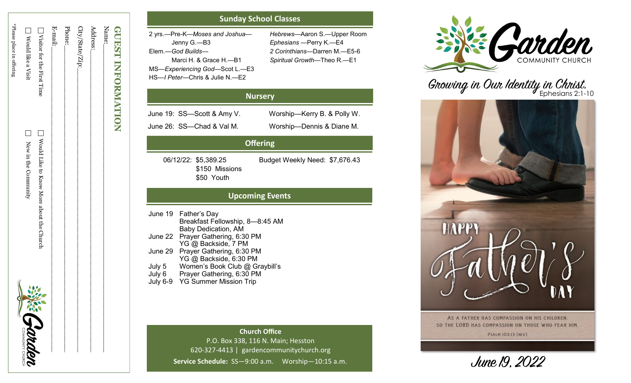| <b>GUEST INFORMATION</b>     |                                            |               |
|------------------------------|--------------------------------------------|---------------|
| Name:                        |                                            |               |
| Address:                     |                                            |               |
| City/State/Zip:_             |                                            |               |
| Phone:                       |                                            |               |
| E-mail:                      |                                            |               |
| □ Visitor for the First Time | □ Wotld Like to Know Mone about the Church |               |
| Nould like a Visit           | ┑<br>New in the Community                  | 谷小<br>Sabaden |
| *Please place in offering    |                                            | ς             |
|                              |                                            |               |

## **Sunday School Classes**

2 yrs. —Pre - K—*Moses and Joshua* — Jenny G. —B3 Elem. —*God Builds* — Marci H. & Grace H. —B1 MS —*Experiencing God*—Scot L. —E3 HS —*I Peter*—Chris & Julie N. —E2

*Hebrews* —Aaron S. —Upper Room *Ephesians*  —Perry K. —E4 *2 Corinthians* —Darren M. —E5 - 6 *Spiritual Growth* —Theo R. —E1

## **Nursery**

June 19: SS —Scott & Amy V. Worship

June 26: SS —Chad & Val M. Worship

—Dennis & Diane M.

Worship-Kerry B. & Polly W.

# **Offering**

 \$150 Missions \$50 Youth

06/12/22: \$5,389.25 Budget Weekly Need: \$7,676.43

# **Upcoming Events**

June 19 Father 's Day Breakfast Fellowship, 8 —8:45 AM Baby Dedication, AM June 22 Prayer Gathering, 6:30 PM YG @ Backside, 7 PM June 29 Prayer Gathering, 6:30 PM YG @ Backside, 6:30 PM July 5 Women 's Book Club @ Graybill ' s July 6 Prayer Gathering, 6:30 PM July 6 - 9 YG Summer Mission Trip

> **Church Office** P.O. Box 338, 116 N. Main; Hesston 620 -327 -4413 | gardencommunitychurch.org Service Schedule: SS-9:00 a.m. Worship-10:15 a.m.



Growing in Our Identity in Christ.



AS A FATHER HAS COMPASSION ON HIS CHILDREN. SO THE LORD HAS COMPASSION ON THOSE WHO FEAR HIM. **PSALM 103:13 [NIV]** 

June 19, 2022